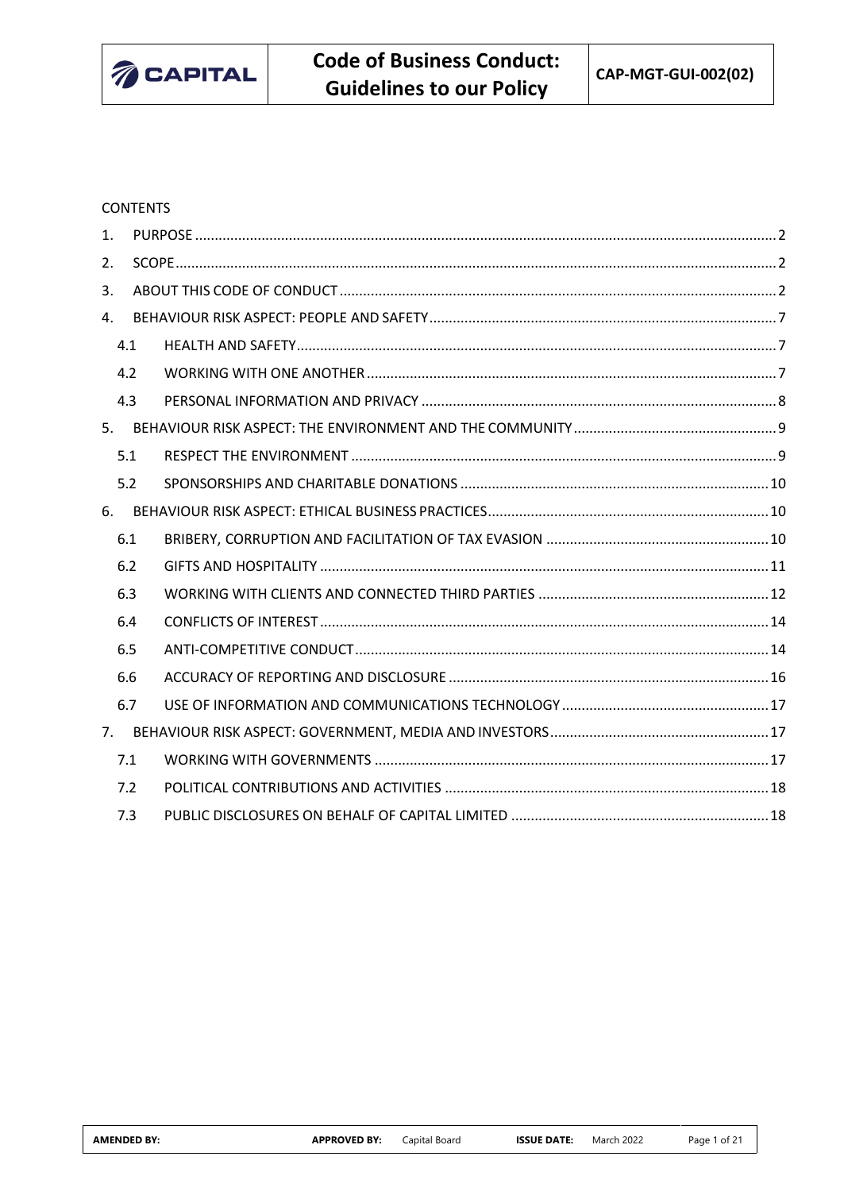

## **CONTENTS**

| $\mathbf{1}$ . |     |  |  |  |  |  |
|----------------|-----|--|--|--|--|--|
| 2.             |     |  |  |  |  |  |
| 3.             |     |  |  |  |  |  |
| 4.             |     |  |  |  |  |  |
|                | 4.1 |  |  |  |  |  |
| 4.2            |     |  |  |  |  |  |
|                | 4.3 |  |  |  |  |  |
|                |     |  |  |  |  |  |
|                | 5.1 |  |  |  |  |  |
|                | 5.2 |  |  |  |  |  |
| 6.             |     |  |  |  |  |  |
|                | 6.1 |  |  |  |  |  |
|                | 6.2 |  |  |  |  |  |
|                | 6.3 |  |  |  |  |  |
|                | 6.4 |  |  |  |  |  |
|                | 6.5 |  |  |  |  |  |
|                | 6.6 |  |  |  |  |  |
|                | 6.7 |  |  |  |  |  |
|                |     |  |  |  |  |  |
|                | 7.1 |  |  |  |  |  |
|                | 7.2 |  |  |  |  |  |
|                | 7.3 |  |  |  |  |  |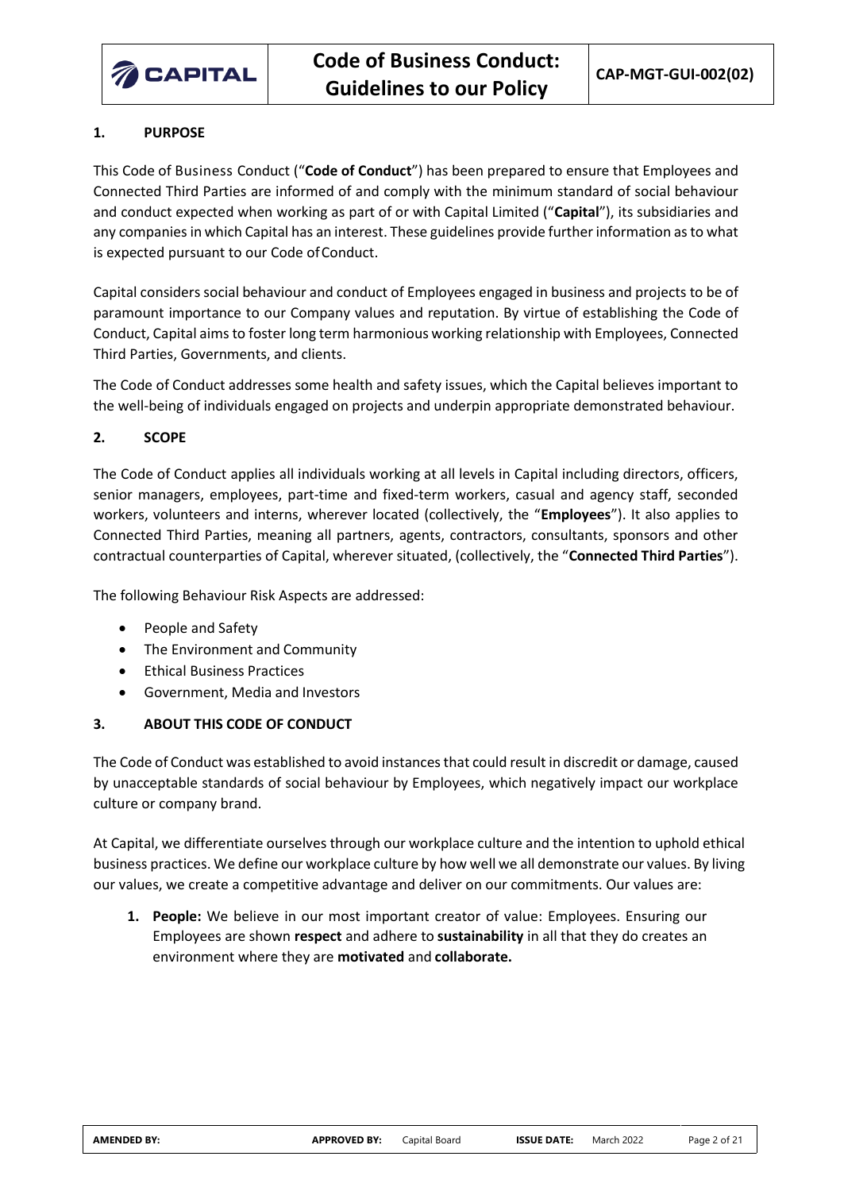

# <span id="page-1-0"></span>**1. PURPOSE**

This Code of Business Conduct ("**Code of Conduct**") has been prepared to ensure that Employees and Connected Third Parties are informed of and comply with the minimum standard of social behaviour and conduct expected when working as part of or with Capital Limited ("**Capital**"), its subsidiaries and any companies in which Capital has an interest. These guidelines provide further information as to what is expected pursuant to our Code of Conduct.

Capital considers social behaviour and conduct of Employees engaged in business and projects to be of paramount importance to our Company values and reputation. By virtue of establishing the Code of Conduct, Capital aims to foster long term harmonious working relationship with Employees, Connected Third Parties, Governments, and clients.

The Code of Conduct addresses some health and safety issues, which the Capital believes important to the well-being of individuals engaged on projects and underpin appropriate demonstrated behaviour.

## <span id="page-1-1"></span>**2. SCOPE**

The Code of Conduct applies all individuals working at all levels in Capital including directors, officers, senior managers, employees, part-time and fixed-term workers, casual and agency staff, seconded workers, volunteers and interns, wherever located (collectively, the "**Employees**"). It also applies to Connected Third Parties, meaning all partners, agents, contractors, consultants, sponsors and other contractual counterparties of Capital, wherever situated, (collectively, the "**Connected Third Parties**").

The following Behaviour Risk Aspects are addressed:

- People and Safety
- The Environment and Community
- Ethical Business Practices
- Government, Media and Investors

## <span id="page-1-2"></span>**3. ABOUT THIS CODE OF CONDUCT**

The Code of Conduct was established to avoid instances that could result in discredit or damage, caused by unacceptable standards of social behaviour by Employees, which negatively impact our workplace culture or company brand.

At Capital, we differentiate ourselves through our workplace culture and the intention to uphold ethical business practices. We define our workplace culture by how well we all demonstrate our values. By living our values, we create a competitive advantage and deliver on our commitments. Our values are:

**1. People:** We believe in our most important creator of value: Employees. Ensuring our Employees are shown **respect** and adhere to **sustainability** in all that they do creates an environment where they are **motivated** and **collaborate.**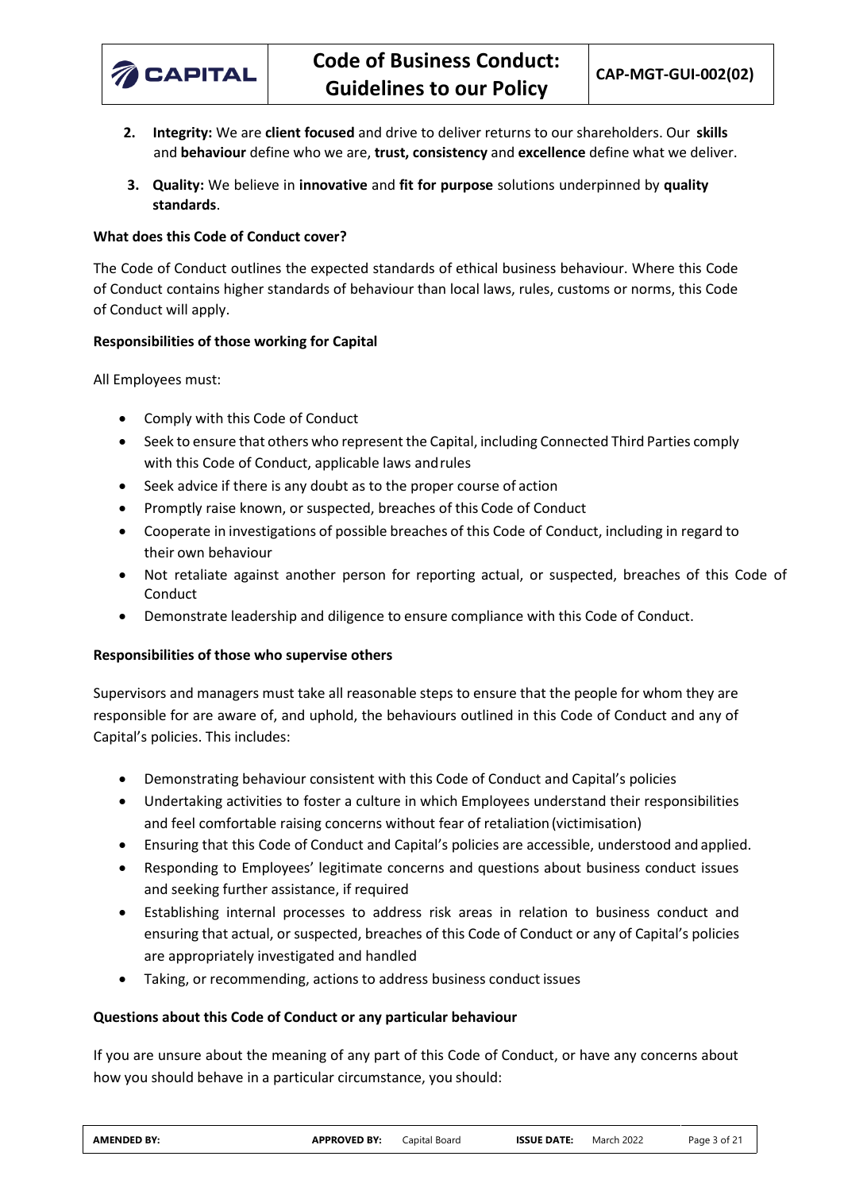

- **2. Integrity:** We are **client focused** and drive to deliver returns to our shareholders. Our **skills** and **behaviour** define who we are, **trust, consistency** and **excellence** define what we deliver.
- **3. Quality:** We believe in **innovative** and **fit for purpose** solutions underpinned by **quality standards**.

## **What does this Code of Conduct cover?**

The Code of Conduct outlines the expected standards of ethical business behaviour. Where this Code of Conduct contains higher standards of behaviour than local laws, rules, customs or norms, this Code of Conduct will apply.

## **Responsibilities of those working for Capital**

All Employees must:

- Comply with this Code of Conduct
- Seek to ensure that others who represent the Capital, including Connected Third Parties comply with this Code of Conduct, applicable laws andrules
- Seek advice if there is any doubt as to the proper course of action
- Promptly raise known, or suspected, breaches of this Code of Conduct
- Cooperate in investigations of possible breaches of this Code of Conduct, including in regard to their own behaviour
- Not retaliate against another person for reporting actual, or suspected, breaches of this Code of Conduct
- Demonstrate leadership and diligence to ensure compliance with this Code of Conduct.

## **Responsibilities of those who supervise others**

Supervisors and managers must take all reasonable steps to ensure that the people for whom they are responsible for are aware of, and uphold, the behaviours outlined in this Code of Conduct and any of Capital's policies. This includes:

- Demonstrating behaviour consistent with this Code of Conduct and Capital's policies
- Undertaking activities to foster a culture in which Employees understand their responsibilities and feel comfortable raising concerns without fear of retaliation(victimisation)
- Ensuring that this Code of Conduct and Capital's policies are accessible, understood and applied.
- Responding to Employees' legitimate concerns and questions about business conduct issues and seeking further assistance, if required
- Establishing internal processes to address risk areas in relation to business conduct and ensuring that actual, or suspected, breaches of this Code of Conduct or any of Capital's policies are appropriately investigated and handled
- Taking, or recommending, actions to address business conduct issues

## **Questions about this Code of Conduct or any particular behaviour**

If you are unsure about the meaning of any part of this Code of Conduct, or have any concerns about how you should behave in a particular circumstance, you should: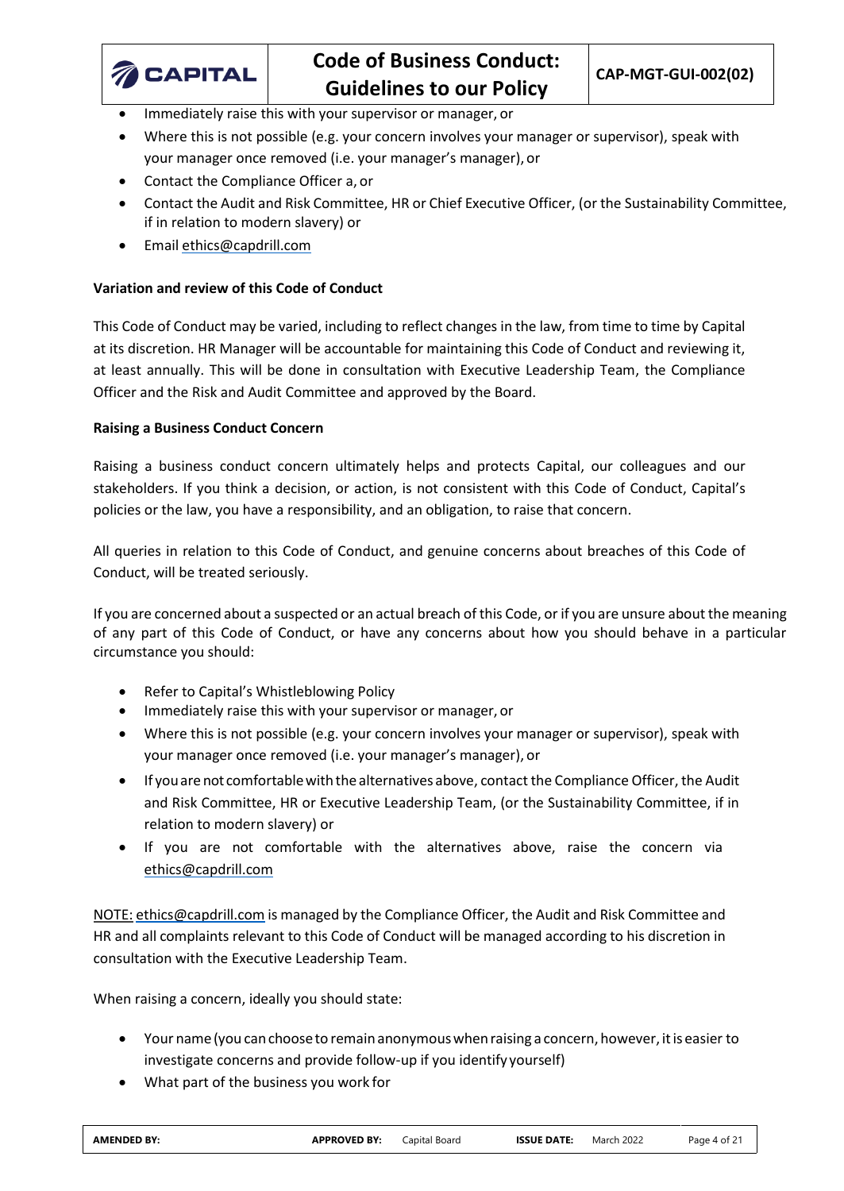

- Immediately raise this with your supervisor or manager, or
- Where this is not possible (e.g. your concern involves your manager or supervisor), speak with your manager once removed (i.e. your manager's manager), or
- Contact the Compliance Officer a, or
- Contact the Audit and Risk Committee, HR or Chief Executive Officer, (or the Sustainability Committee, if in relation to modern slavery) or
- Email [ethics@capdrill.com](mailto:ethics@capdrill.com)

## **Variation and review of this Code of Conduct**

This Code of Conduct may be varied, including to reflect changes in the law, from time to time by Capital at its discretion. HR Manager will be accountable for maintaining this Code of Conduct and reviewing it, at least annually. This will be done in consultation with Executive Leadership Team, the Compliance Officer and the Risk and Audit Committee and approved by the Board.

## **Raising a Business Conduct Concern**

Raising a business conduct concern ultimately helps and protects Capital, our colleagues and our stakeholders. If you think a decision, or action, is not consistent with this Code of Conduct, Capital's policies or the law, you have a responsibility, and an obligation, to raise that concern.

All queries in relation to this Code of Conduct, and genuine concerns about breaches of this Code of Conduct, will be treated seriously.

If you are concerned about a suspected or an actual breach of this Code, or if you are unsure about the meaning of any part of this Code of Conduct, or have any concerns about how you should behave in a particular circumstance you should:

- Refer to Capital's Whistleblowing Policy
- Immediately raise this with your supervisor or manager, or
- Where this is not possible (e.g. your concern involves your manager or supervisor), speak with your manager once removed (i.e. your manager's manager), or
- If youare not comfortablewiththe alternatives above, contact the Compliance Officer, the Audit and Risk Committee, HR or Executive Leadership Team, (or the Sustainability Committee, if in relation to modern slavery) or
- If you are not comfortable with the alternatives above, raise the concern via [ethics@capdrill.com](mailto:ethics@capdrill.com)

NOTE: [ethics@capdrill.com](mailto:ethics@capdrill.com) is managed by the Compliance Officer, the Audit and Risk Committee and HR and all complaints relevant to this Code of Conduct will be managed according to his discretion in consultation with the Executive Leadership Team.

When raising a concern, ideally you should state:

- Your name (you can choose to remain anonymous when raising a concern, however, it is easier to investigate concerns and provide follow-up if you identify yourself)
- What part of the business you work for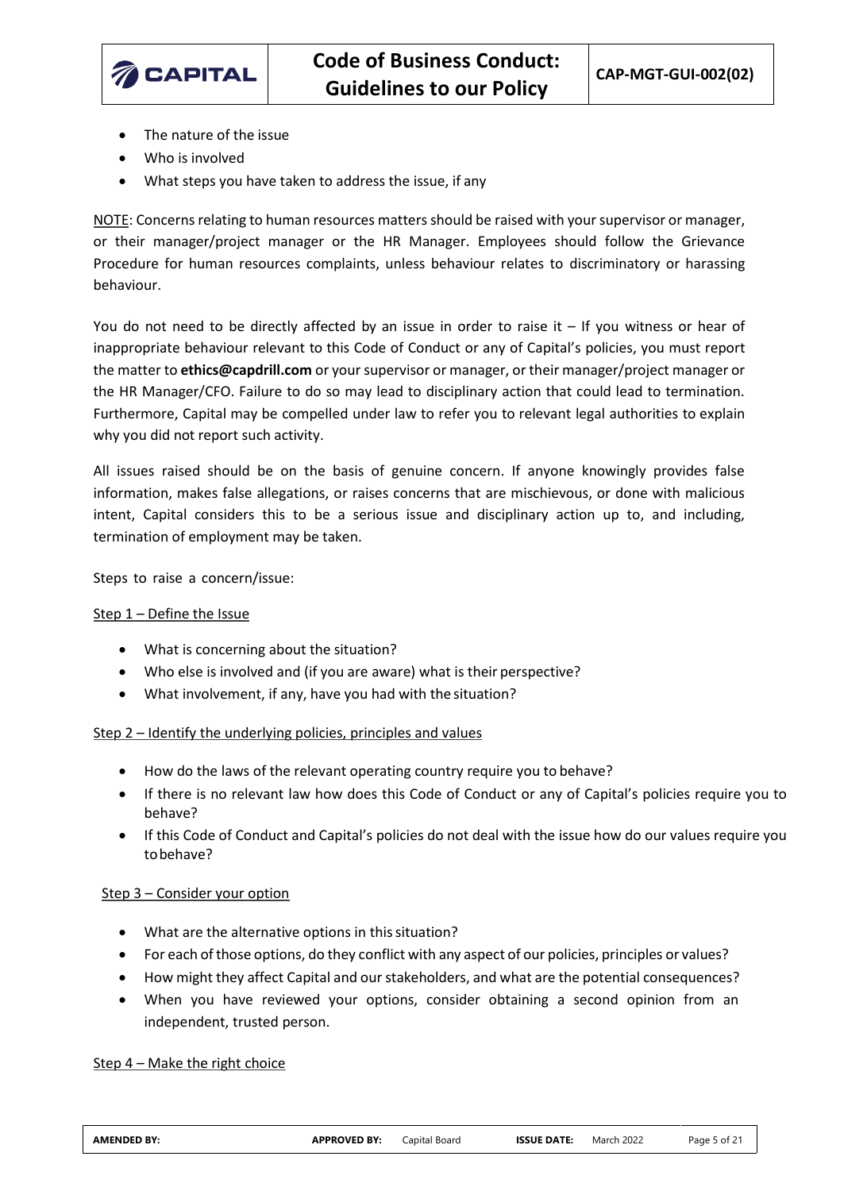

- The nature of the issue
- Who is involved
- What steps you have taken to address the issue, if any

NOTE: Concerns relating to human resources matters should be raised with your supervisor or manager, or their manager/project manager or the HR Manager. Employees should follow the Grievance Procedure for human resources complaints, unless behaviour relates to discriminatory or harassing behaviour.

You do not need to be directly affected by an issue in order to raise it – If you witness or hear of inappropriate behaviour relevant to this Code of Conduct or any of Capital's policies, you must report the matter to **[ethics@capdrill.com](mailto:ethics@capdrill.com)** or your supervisor or manager, or their manager/project manager or the HR Manager/CFO. Failure to do so may lead to disciplinary action that could lead to termination. Furthermore, Capital may be compelled under law to refer you to relevant legal authorities to explain why you did not report such activity.

All issues raised should be on the basis of genuine concern. If anyone knowingly provides false information, makes false allegations, or raises concerns that are mischievous, or done with malicious intent, Capital considers this to be a serious issue and disciplinary action up to, and including, termination of employment may be taken.

Steps to raise a concern/issue:

## Step 1 – Define the Issue

- What is concerning about the situation?
- Who else is involved and (if you are aware) what is their perspective?
- What involvement, if any, have you had with the situation?

## Step 2 – Identify the underlying policies, principles and values

- How do the laws of the relevant operating country require you to behave?
- If there is no relevant law how does this Code of Conduct or any of Capital's policies require you to behave?
- If this Code of Conduct and Capital's policies do not deal with the issue how do our values require you tobehave?

# Step 3 – Consider your option

- What are the alternative options in this situation?
- For each of those options, do they conflict with any aspect of our policies, principles or values?
- How might they affect Capital and our stakeholders, and what are the potential consequences?
- When you have reviewed your options, consider obtaining a second opinion from an independent, trusted person.

# Step 4 – Make the right choice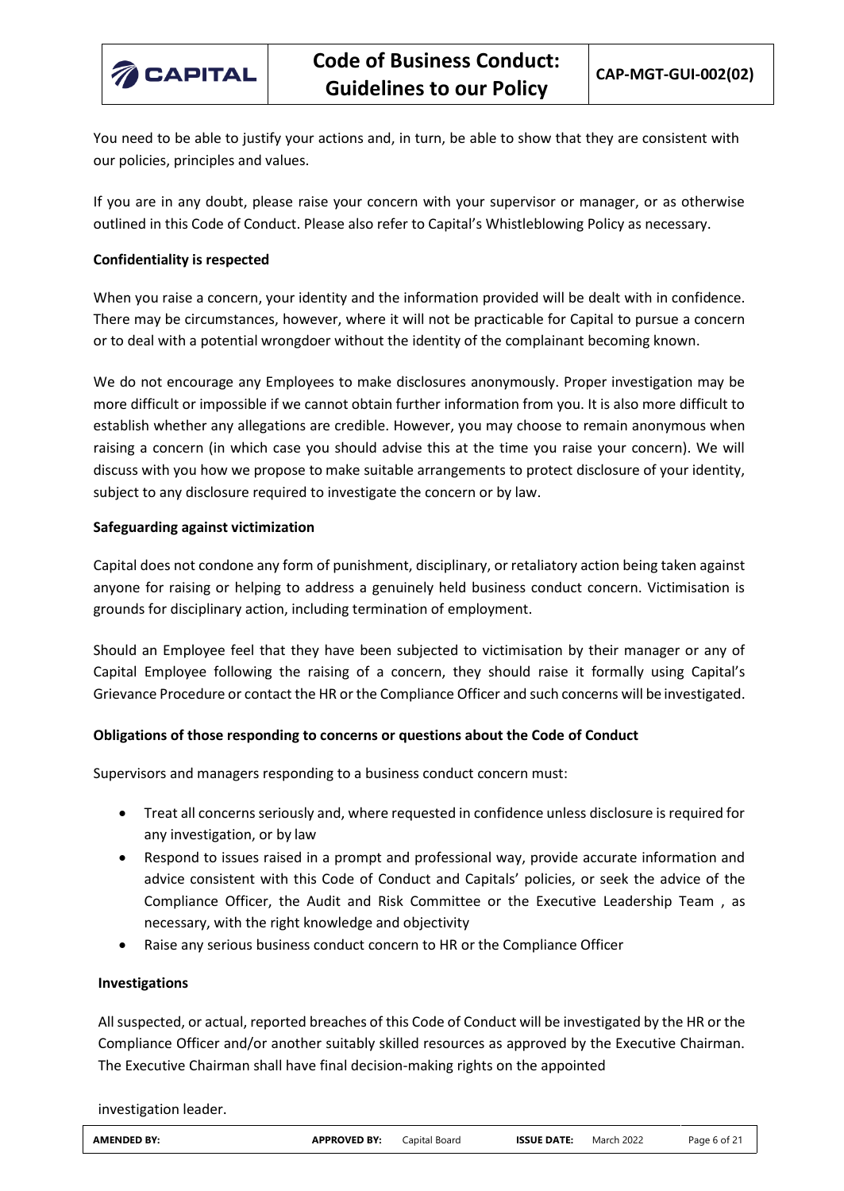

You need to be able to justify your actions and, in turn, be able to show that they are consistent with our policies, principles and values.

If you are in any doubt, please raise your concern with your supervisor or manager, or as otherwise outlined in this Code of Conduct. Please also refer to Capital's Whistleblowing Policy as necessary.

## **Confidentiality is respected**

When you raise a concern, your identity and the information provided will be dealt with in confidence. There may be circumstances, however, where it will not be practicable for Capital to pursue a concern or to deal with a potential wrongdoer without the identity of the complainant becoming known.

We do not encourage any Employees to make disclosures anonymously. Proper investigation may be more difficult or impossible if we cannot obtain further information from you. It is also more difficult to establish whether any allegations are credible. However, you may choose to remain anonymous when raising a concern (in which case you should advise this at the time you raise your concern). We will discuss with you how we propose to make suitable arrangements to protect disclosure of your identity, subject to any disclosure required to investigate the concern or by law.

#### **Safeguarding against victimization**

Capital does not condone any form of punishment, disciplinary, or retaliatory action being taken against anyone for raising or helping to address a genuinely held business conduct concern. Victimisation is grounds for disciplinary action, including termination of employment.

Should an Employee feel that they have been subjected to victimisation by their manager or any of Capital Employee following the raising of a concern, they should raise it formally using Capital's Grievance Procedure or contact the HR or the Compliance Officer and such concerns will be investigated.

## **Obligations of those responding to concerns or questions about the Code of Conduct**

Supervisors and managers responding to a business conduct concern must:

- Treat all concerns seriously and, where requested in confidence unless disclosure is required for any investigation, or by law
- Respond to issues raised in a prompt and professional way, provide accurate information and advice consistent with this Code of Conduct and Capitals' policies, or seek the advice of the Compliance Officer, the Audit and Risk Committee or the Executive Leadership Team , as necessary, with the right knowledge and objectivity
- Raise any serious business conduct concern to HR or the Compliance Officer

## **Investigations**

All suspected, or actual, reported breaches of this Code of Conduct will be investigated by the HR or the Compliance Officer and/or another suitably skilled resources as approved by the Executive Chairman. The Executive Chairman shall have final decision-making rights on the appointed

investigation leader.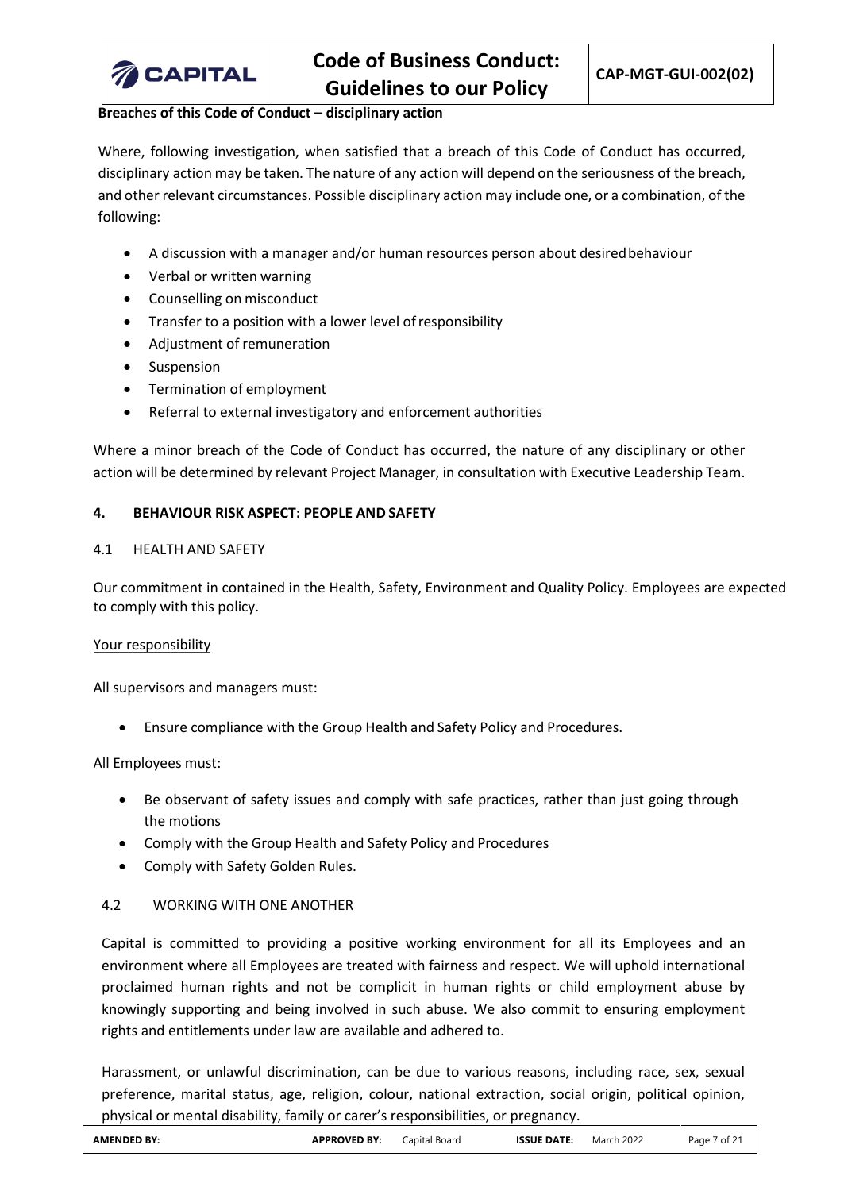

## **Breaches of this Code of Conduct – disciplinary action**

Where, following investigation, when satisfied that a breach of this Code of Conduct has occurred, disciplinary action may be taken. The nature of any action will depend on the seriousness of the breach, and other relevant circumstances. Possible disciplinary action may include one, or a combination, of the following:

- A discussion with a manager and/or human resources person about desiredbehaviour
- Verbal or written warning
- Counselling on misconduct
- Transfer to a position with a lower level ofresponsibility
- Adjustment of remuneration
- Suspension
- Termination of employment
- Referral to external investigatory and enforcement authorities

Where a minor breach of the Code of Conduct has occurred, the nature of any disciplinary or other action will be determined by relevant Project Manager, in consultation with Executive Leadership Team.

## <span id="page-6-0"></span>**4. BEHAVIOUR RISK ASPECT: PEOPLE AND SAFETY**

## <span id="page-6-1"></span>4.1 HEALTH AND SAFETY

Our commitment in contained in the Health, Safety, Environment and Quality Policy. Employees are expected to comply with this policy.

## Your responsibility

All supervisors and managers must:

• Ensure compliance with the Group Health and Safety Policy and Procedures.

All Employees must:

- Be observant of safety issues and comply with safe practices, rather than just going through the motions
- Comply with the Group Health and Safety Policy and Procedures
- Comply with Safety Golden Rules.

# <span id="page-6-2"></span>4.2 WORKING WITH ONE ANOTHER

Capital is committed to providing a positive working environment for all its Employees and an environment where all Employees are treated with fairness and respect. We will uphold international proclaimed human rights and not be complicit in human rights or child employment abuse by knowingly supporting and being involved in such abuse. We also commit to ensuring employment rights and entitlements under law are available and adhered to.

Harassment, or unlawful discrimination, can be due to various reasons, including race, sex, sexual preference, marital status, age, religion, colour, national extraction, social origin, political opinion, physical or mental disability, family or carer's responsibilities, or pregnancy.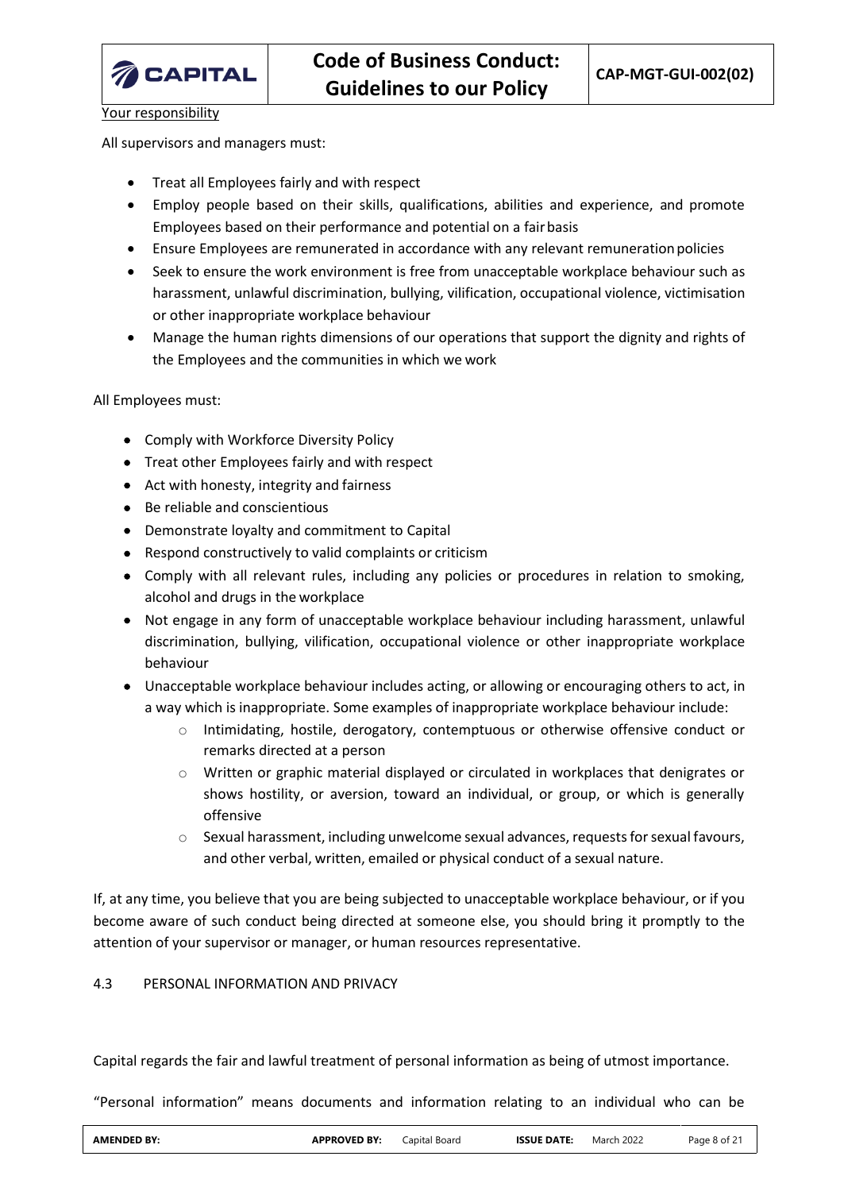

Your responsibility

All supervisors and managers must:

- Treat all Employees fairly and with respect
- Employ people based on their skills, qualifications, abilities and experience, and promote Employees based on their performance and potential on a fairbasis
- Ensure Employees are remunerated in accordance with any relevant remunerationpolicies
- Seek to ensure the work environment is free from unacceptable workplace behaviour such as harassment, unlawful discrimination, bullying, vilification, occupational violence, victimisation or other inappropriate workplace behaviour
- Manage the human rights dimensions of our operations that support the dignity and rights of the Employees and the communities in which we work

All Employees must:

- Comply with Workforce Diversity Policy
- Treat other Employees fairly and with respect
- Act with honesty, integrity and fairness
- Be reliable and conscientious
- Demonstrate loyalty and commitment to Capital
- Respond constructively to valid complaints or criticism
- Comply with all relevant rules, including any policies or procedures in relation to smoking, alcohol and drugs in the workplace
- Not engage in any form of unacceptable workplace behaviour including harassment, unlawful discrimination, bullying, vilification, occupational violence or other inappropriate workplace behaviour
- Unacceptable workplace behaviour includes acting, or allowing or encouraging others to act, in a way which is inappropriate. Some examples of inappropriate workplace behaviour include:
	- o Intimidating, hostile, derogatory, contemptuous or otherwise offensive conduct or remarks directed at a person
	- $\circ$  Written or graphic material displayed or circulated in workplaces that denigrates or shows hostility, or aversion, toward an individual, or group, or which is generally offensive
	- $\circ$  Sexual harassment, including unwelcome sexual advances, requests for sexual favours, and other verbal, written, emailed or physical conduct of a sexual nature.

If, at any time, you believe that you are being subjected to unacceptable workplace behaviour, or if you become aware of such conduct being directed at someone else, you should bring it promptly to the attention of your supervisor or manager, or human resources representative.

# <span id="page-7-0"></span>4.3 PERSONAL INFORMATION AND PRIVACY

Capital regards the fair and lawful treatment of personal information as being of utmost importance.

"Personal information" means documents and information relating to an individual who can be

| <b>AMENDED BY:</b> | <b>APPROVED BY:</b> | Capital Board | <b>ISSUE DATE:</b> | March 2022 | Page 8 of 21 |
|--------------------|---------------------|---------------|--------------------|------------|--------------|
|                    |                     |               |                    |            |              |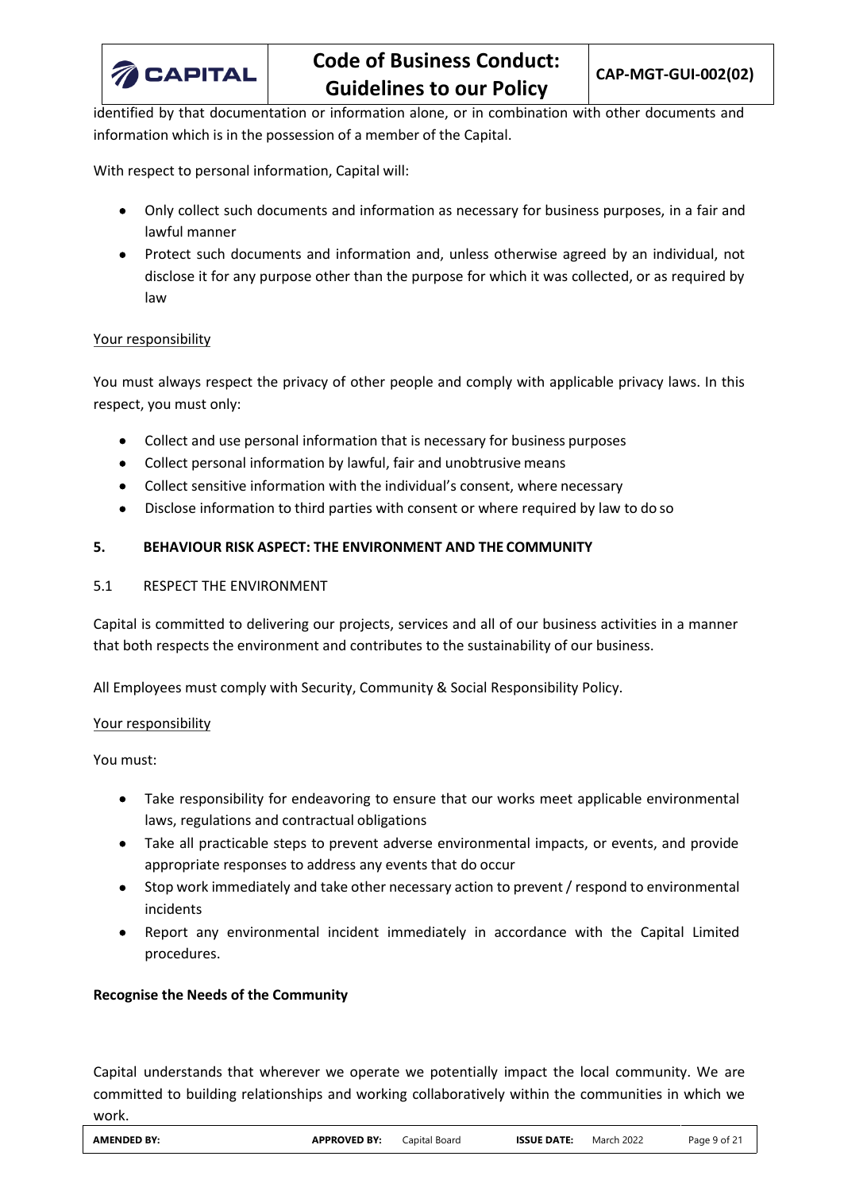

identified by that documentation or information alone, or in combination with other documents and information which is in the possession of a member of the Capital.

With respect to personal information, Capital will:

- Only collect such documents and information as necessary for business purposes, in a fair and lawful manner
- Protect such documents and information and, unless otherwise agreed by an individual, not disclose it for any purpose other than the purpose for which it was collected, or as required by law

## Your responsibility

You must always respect the privacy of other people and comply with applicable privacy laws. In this respect, you must only:

- Collect and use personal information that is necessary for business purposes
- Collect personal information by lawful, fair and unobtrusive means
- Collect sensitive information with the individual's consent, where necessary
- Disclose information to third parties with consent or where required by law to do so

# <span id="page-8-0"></span>**5. BEHAVIOUR RISK ASPECT: THE ENVIRONMENT AND THE COMMUNITY**

## <span id="page-8-1"></span>5.1 RESPECT THE ENVIRONMENT

Capital is committed to delivering our projects, services and all of our business activities in a manner that both respects the environment and contributes to the sustainability of our business.

All Employees must comply with Security, Community & Social Responsibility Policy.

## Your responsibility

You must:

- Take responsibility for endeavoring to ensure that our works meet applicable environmental laws, regulations and contractual obligations
- Take all practicable steps to prevent adverse environmental impacts, or events, and provide appropriate responses to address any events that do occur
- Stop work immediately and take other necessary action to prevent / respond to environmental incidents
- Report any environmental incident immediately in accordance with the Capital Limited procedures.

## **Recognise the Needs of the Community**

Capital understands that wherever we operate we potentially impact the local community. We are committed to building relationships and working collaboratively within the communities in which we work.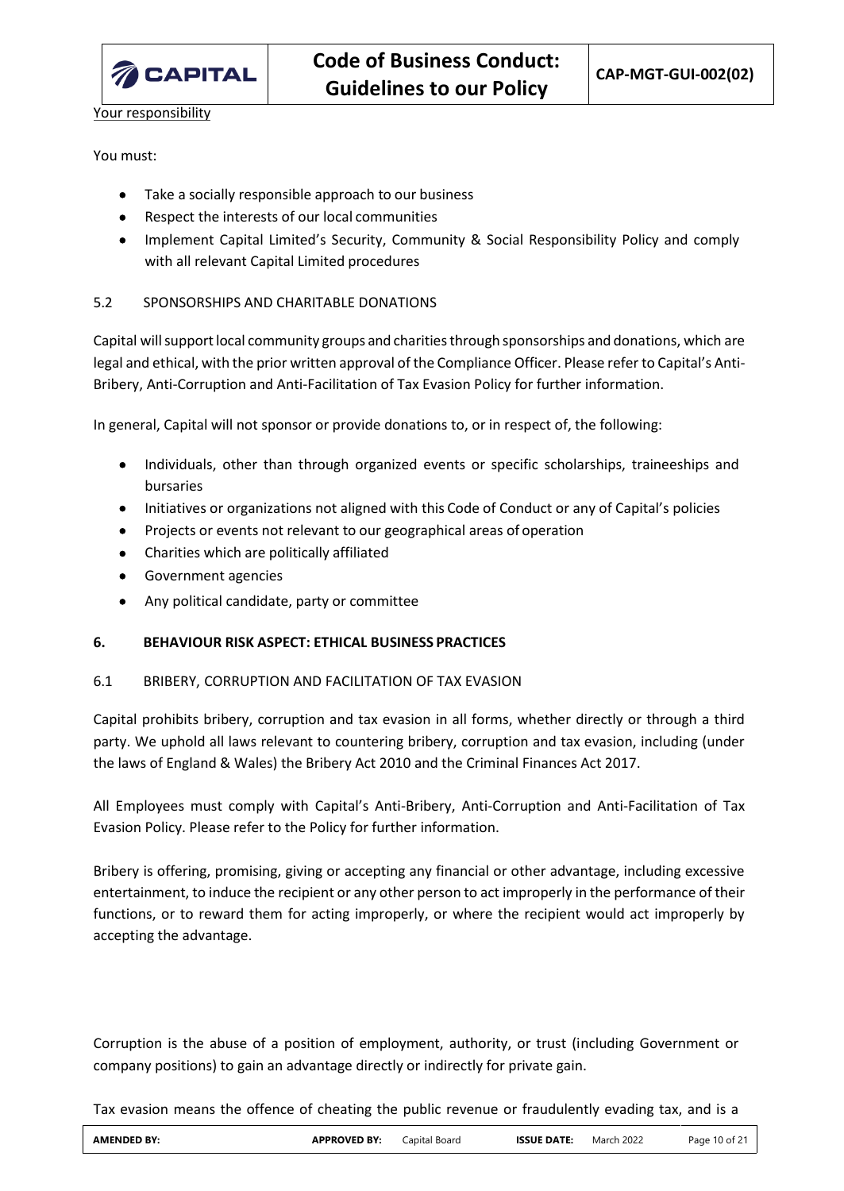

Your responsibility

## You must:

- Take a socially responsible approach to our business
- Respect the interests of our local communities
- Implement Capital Limited's Security, Community & Social Responsibility Policy and comply with all relevant Capital Limited procedures

# <span id="page-9-0"></span>5.2 SPONSORSHIPS AND CHARITABLE DONATIONS

Capital will support local community groups and charities through sponsorships and donations, which are legal and ethical, with the prior written approval of the Compliance Officer. Please refer to Capital's Anti-Bribery, Anti-Corruption and Anti-Facilitation of Tax Evasion Policy for further information.

In general, Capital will not sponsor or provide donations to, or in respect of, the following:

- Individuals, other than through organized events or specific scholarships, traineeships and bursaries
- Initiatives or organizations not aligned with this Code of Conduct or any of Capital's policies
- Projects or events not relevant to our geographical areas of operation
- Charities which are politically affiliated
- Government agencies
- Any political candidate, party or committee

## <span id="page-9-1"></span>**6. BEHAVIOUR RISK ASPECT: ETHICAL BUSINESS PRACTICES**

## <span id="page-9-2"></span>6.1 BRIBERY, CORRUPTION AND FACILITATION OF TAX EVASION

Capital prohibits bribery, corruption and tax evasion in all forms, whether directly or through a third party. We uphold all laws relevant to countering bribery, corruption and tax evasion, including (under the laws of England & Wales) the Bribery Act 2010 and the Criminal Finances Act 2017.

All Employees must comply with Capital's Anti-Bribery, Anti-Corruption and Anti-Facilitation of Tax Evasion Policy. Please refer to the Policy for further information.

Bribery is offering, promising, giving or accepting any financial or other advantage, including excessive entertainment, to induce the recipient or any other person to act improperly in the performance of their functions, or to reward them for acting improperly, or where the recipient would act improperly by accepting the advantage.

Corruption is the abuse of a position of employment, authority, or trust (including Government or company positions) to gain an advantage directly or indirectly for private gain.

Tax evasion means the offence of cheating the public revenue or fraudulently evading tax, and is a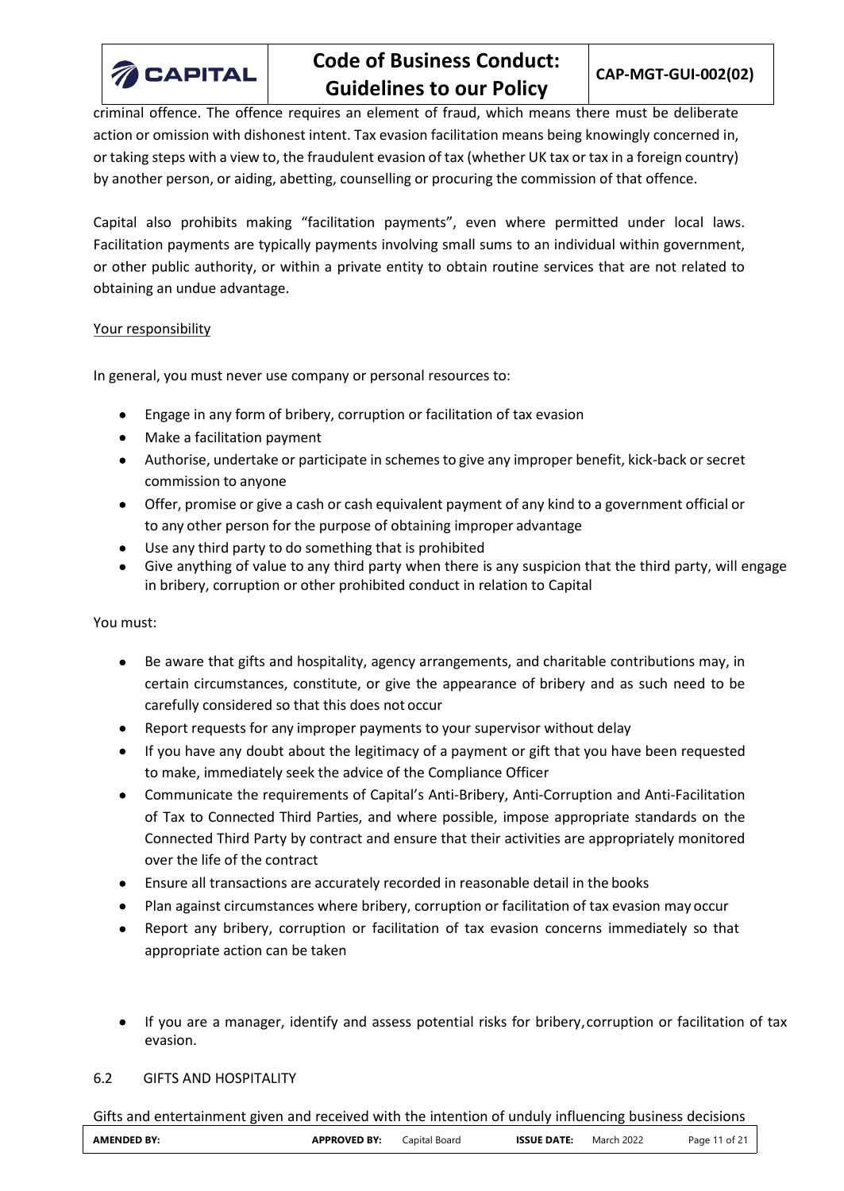

# **Code of Business Conduct: Guidelines to our Policy**

criminal offence. The offence requires an element of fraud, which means there must be deliberate action or omission with dishonest intent. Tax evasion facilitation means being knowingly concerned in, or taking steps with a view to, the fraudulent evasion of tax (whether UK tax or tax in a foreign country) by another person, or aiding, abetting, counselling or procuring the commission of that offence.

Capital also prohibits making "facilitation payments", even where permitted under local laws. Facilitation payments are typically payments involving small sums to an individual within government, or other public authority, or within a private entity to obtain routine services that are not related to obtaining an undue advantage.

## Your responsibility

In general, you must never use company or personal resources to:

- Engage in any form of bribery, corruption or facilitation of tax evasion
- Make a facilitation payment
- Authorise, undertake or participate in schemes to give any improper benefit, kick-back or secret commission to anyone
- Offer, promise or give a cash or cash equivalent payment of any kind to a government official or to any other person for the purpose of obtaining improper advantage
- Use any third party to do something that is prohibited
- Give anything of value to any third party when there is any suspicion that the third party, will engage in bribery, corruption or other prohibited conduct in relation to Capital

## You must:

- Be aware that gifts and hospitality, agency arrangements, and charitable contributions may, in certain circumstances, constitute, or give the appearance of bribery and as such need to be carefully considered so that this does not occur
- Report requests for any improper payments to your supervisor without delay
- If you have any doubt about the legitimacy of a payment or gift that you have been requested to make, immediately seek the advice of the Compliance Officer
- Communicate the requirements of Capital's Anti-Bribery, Anti-Corruption and Anti-Facilitation of Tax to Connected Third Parties, and where possible, impose appropriate standards on the Connected Third Party by contract and ensure that their activities are appropriately monitored over the life of the contract
- Ensure all transactions are accurately recorded in reasonable detail in the books
- Plan against circumstances where bribery, corruption or facilitation of tax evasion may occur
- Report any bribery, corruption or facilitation of tax evasion concerns immediately so that appropriate action can be taken
- If you are a manager, identify and assess potential risks for bribery, corruption or facilitation of tax evasion.

#### <span id="page-10-0"></span>6.2 GIFTS AND HOSPITALITY

Gifts and entertainment given and received with the intention of unduly influencing business decisions

| <b>AMENDED</b><br>۱BY: | <b>APPROVED BY:</b> | Lapital<br>Board<br>$\sim$ $\sim$ $\sim$ $\sim$<br>-- | <b>ISSUE DATE</b><br>____ | $\sim$<br>March <sub>.</sub><br>2022 | <u>. п. </u><br>Page<br>Ωt |
|------------------------|---------------------|-------------------------------------------------------|---------------------------|--------------------------------------|----------------------------|
|------------------------|---------------------|-------------------------------------------------------|---------------------------|--------------------------------------|----------------------------|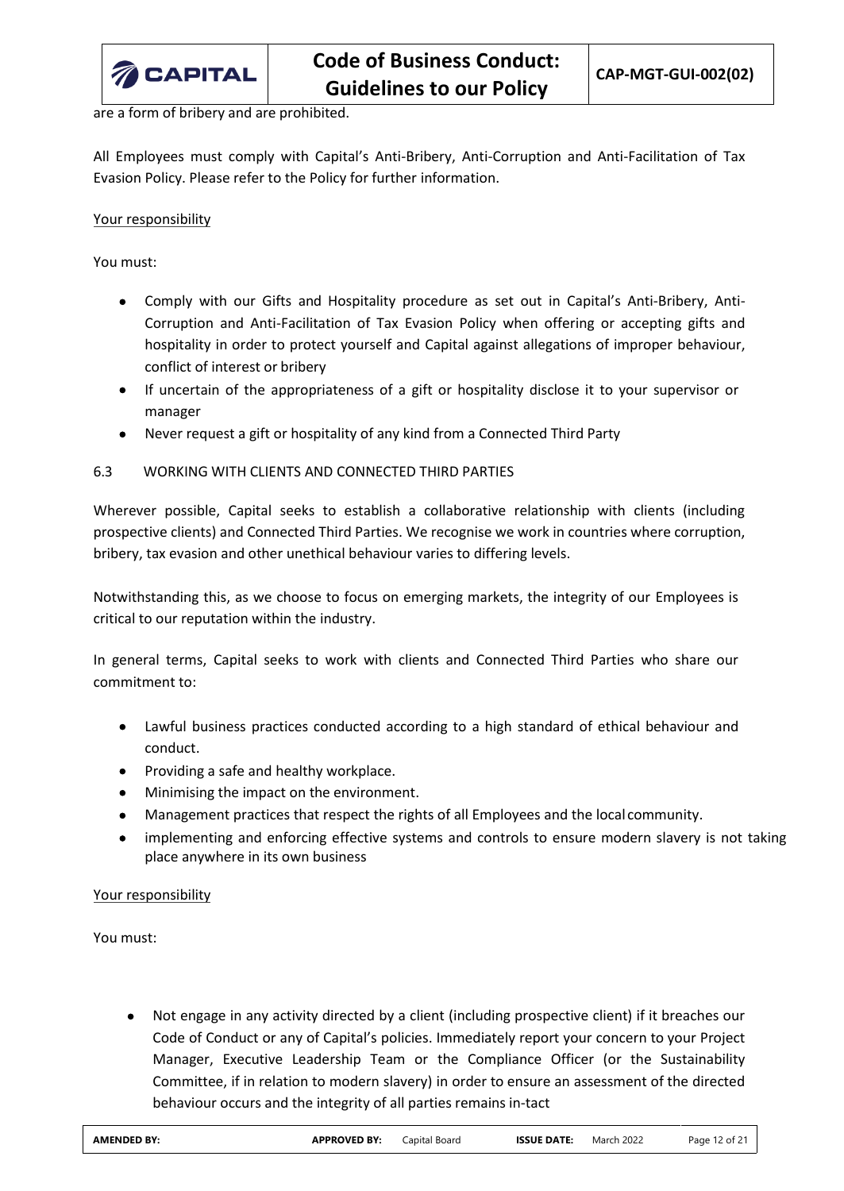

are a form of bribery and are prohibited.

All Employees must comply with Capital's Anti-Bribery, Anti-Corruption and Anti-Facilitation of Tax Evasion Policy. Please refer to the Policy for further information.

Your responsibility

You must:

- Comply with our Gifts and Hospitality procedure as set out in Capital's Anti-Bribery, Anti-Corruption and Anti-Facilitation of Tax Evasion Policy when offering or accepting gifts and hospitality in order to protect yourself and Capital against allegations of improper behaviour, conflict of interest or bribery
- If uncertain of the appropriateness of a gift or hospitality disclose it to your supervisor or manager
- Never request a gift or hospitality of any kind from a Connected Third Party

# <span id="page-11-0"></span>6.3 WORKING WITH CLIENTS AND CONNECTED THIRD PARTIES

Wherever possible, Capital seeks to establish a collaborative relationship with clients (including prospective clients) and Connected Third Parties. We recognise we work in countries where corruption, bribery, tax evasion and other unethical behaviour varies to differing levels.

Notwithstanding this, as we choose to focus on emerging markets, the integrity of our Employees is critical to our reputation within the industry.

In general terms, Capital seeks to work with clients and Connected Third Parties who share our commitment to:

- Lawful business practices conducted according to a high standard of ethical behaviour and conduct.
- Providing a safe and healthy workplace.
- Minimising the impact on the environment.
- Management practices that respect the rights of all Employees and the local community.
- implementing and enforcing effective systems and controls to ensure modern slavery is not taking place anywhere in its own business

Your responsibility

You must:

• Not engage in any activity directed by a client (including prospective client) if it breaches our Code of Conduct or any of Capital's policies. Immediately report your concern to your Project Manager, Executive Leadership Team or the Compliance Officer (or the Sustainability Committee, if in relation to modern slavery) in order to ensure an assessment of the directed behaviour occurs and the integrity of all parties remains in-tact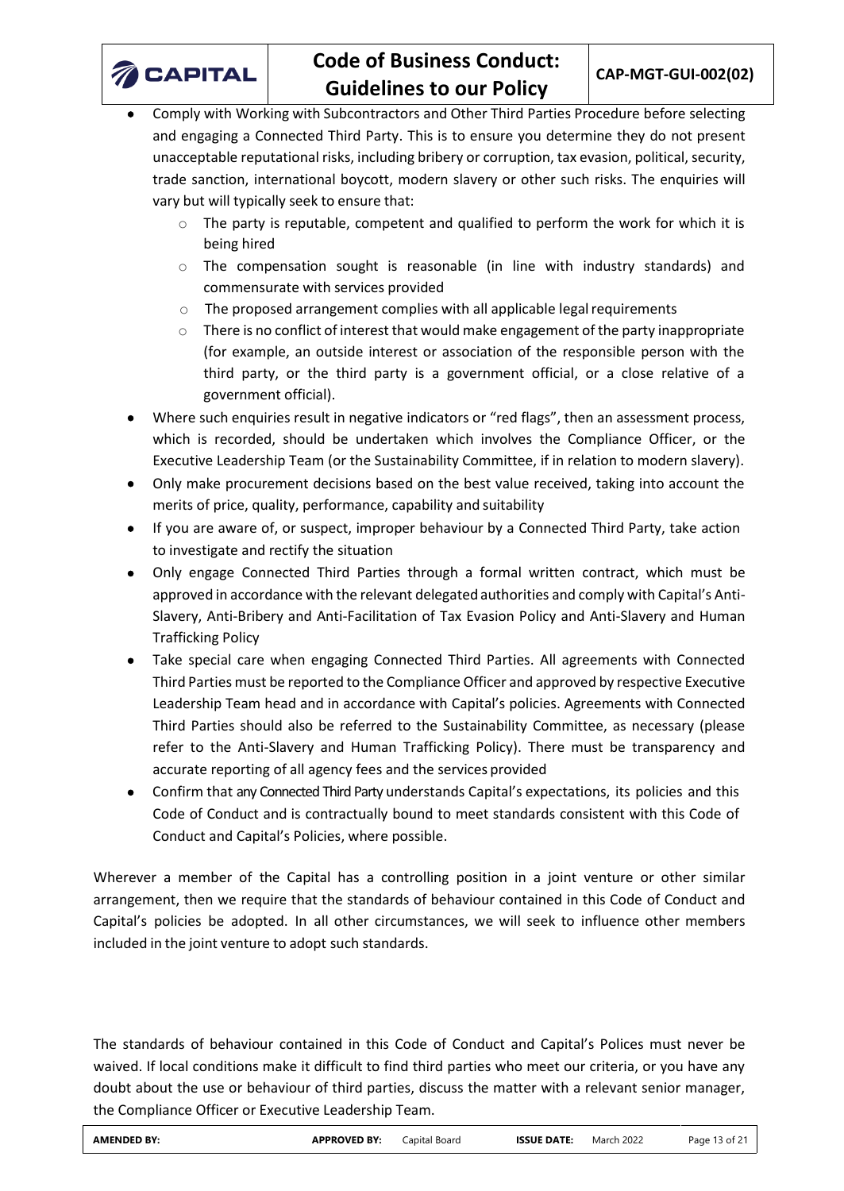

- Comply with Working with Subcontractors and Other Third Parties Procedure before selecting and engaging a Connected Third Party. This is to ensure you determine they do not present unacceptable reputational risks, including bribery or corruption, tax evasion, political, security, trade sanction, international boycott, modern slavery or other such risks. The enquiries will vary but will typically seek to ensure that:
	- $\circ$  The party is reputable, competent and qualified to perform the work for which it is being hired
	- $\circ$  The compensation sought is reasonable (in line with industry standards) and commensurate with services provided
	- $\circ$  The proposed arrangement complies with all applicable legal requirements
	- $\circ$  There is no conflict of interest that would make engagement of the party inappropriate (for example, an outside interest or association of the responsible person with the third party, or the third party is a government official, or a close relative of a government official).
- Where such enquiries result in negative indicators or "red flags", then an assessment process, which is recorded, should be undertaken which involves the Compliance Officer, or the Executive Leadership Team (or the Sustainability Committee, if in relation to modern slavery).
- Only make procurement decisions based on the best value received, taking into account the merits of price, quality, performance, capability and suitability
- If you are aware of, or suspect, improper behaviour by a Connected Third Party, take action to investigate and rectify the situation
- Only engage Connected Third Parties through a formal written contract, which must be approved in accordance with the relevant delegated authorities and comply with Capital's Anti-Slavery, Anti-Bribery and Anti-Facilitation of Tax Evasion Policy and Anti-Slavery and Human Trafficking Policy
- Take special care when engaging Connected Third Parties. All agreements with Connected Third Parties must be reported to the Compliance Officer and approved by respective Executive Leadership Team head and in accordance with Capital's policies. Agreements with Connected Third Parties should also be referred to the Sustainability Committee, as necessary (please refer to the Anti-Slavery and Human Trafficking Policy). There must be transparency and accurate reporting of all agency fees and the services provided
- Confirm that any Connected Third Party understands Capital's expectations, its policies and this Code of Conduct and is contractually bound to meet standards consistent with this Code of Conduct and Capital's Policies, where possible.

Wherever a member of the Capital has a controlling position in a joint venture or other similar arrangement, then we require that the standards of behaviour contained in this Code of Conduct and Capital's policies be adopted. In all other circumstances, we will seek to influence other members included in the joint venture to adopt such standards.

The standards of behaviour contained in this Code of Conduct and Capital's Polices must never be waived. If local conditions make it difficult to find third parties who meet our criteria, or you have any doubt about the use or behaviour of third parties, discuss the matter with a relevant senior manager, the Compliance Officer or Executive Leadership Team.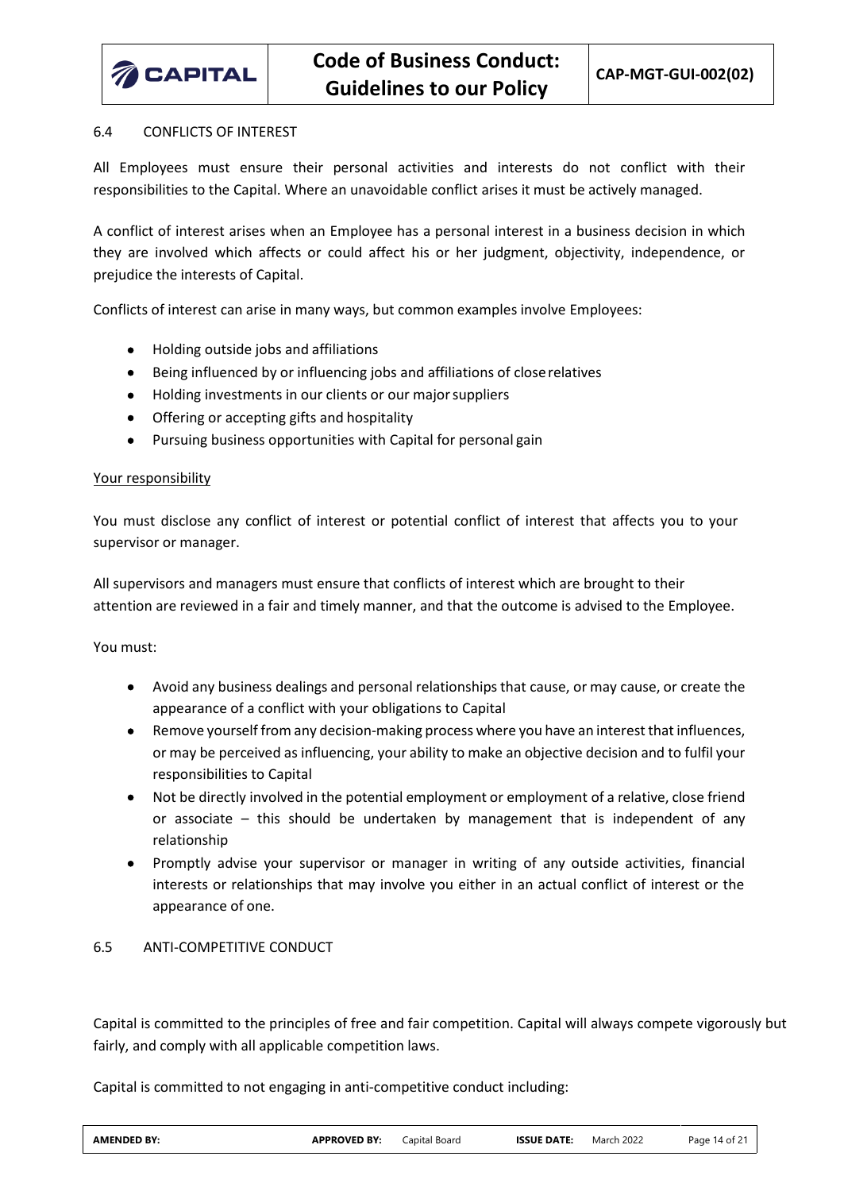

#### <span id="page-13-0"></span>6.4 CONFLICTS OF INTEREST

All Employees must ensure their personal activities and interests do not conflict with their responsibilities to the Capital. Where an unavoidable conflict arises it must be actively managed.

A conflict of interest arises when an Employee has a personal interest in a business decision in which they are involved which affects or could affect his or her judgment, objectivity, independence, or prejudice the interests of Capital.

Conflicts of interest can arise in many ways, but common examples involve Employees:

- Holding outside jobs and affiliations
- Being influenced by or influencing jobs and affiliations of closerelatives
- Holding investments in our clients or our majorsuppliers
- Offering or accepting gifts and hospitality
- Pursuing business opportunities with Capital for personal gain

#### Your responsibility

You must disclose any conflict of interest or potential conflict of interest that affects you to your supervisor or manager.

All supervisors and managers must ensure that conflicts of interest which are brought to their attention are reviewed in a fair and timely manner, and that the outcome is advised to the Employee.

You must:

- Avoid any business dealings and personal relationships that cause, or may cause, or create the appearance of a conflict with your obligations to Capital
- Remove yourself from any decision-making process where you have an interest that influences, or may be perceived as influencing, your ability to make an objective decision and to fulfil your responsibilities to Capital
- Not be directly involved in the potential employment or employment of a relative, close friend or associate – this should be undertaken by management that is independent of any relationship
- Promptly advise your supervisor or manager in writing of any outside activities, financial interests or relationships that may involve you either in an actual conflict of interest or the appearance of one.

## <span id="page-13-1"></span>6.5 ANTI-COMPETITIVE CONDUCT

Capital is committed to the principles of free and fair competition. Capital will always compete vigorously but fairly, and comply with all applicable competition laws.

Capital is committed to not engaging in anti-competitive conduct including: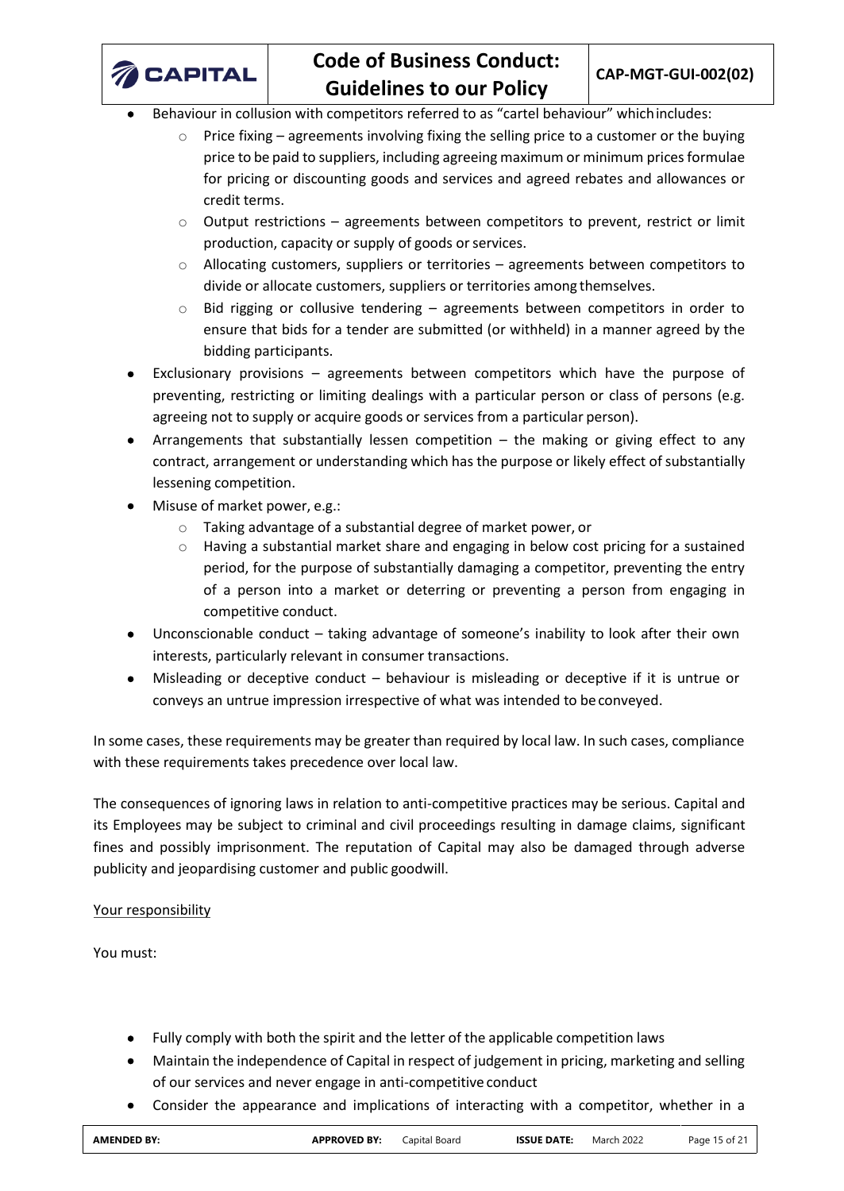

- Behaviour in collusion with competitors referred to as "cartel behaviour" whichincludes:
	- $\circ$  Price fixing agreements involving fixing the selling price to a customer or the buying price to be paid to suppliers, including agreeing maximum or minimum prices formulae for pricing or discounting goods and services and agreed rebates and allowances or credit terms.
	- $\circ$  Output restrictions agreements between competitors to prevent, restrict or limit production, capacity or supply of goods or services.
	- $\circ$  Allocating customers, suppliers or territories agreements between competitors to divide or allocate customers, suppliers or territories among themselves.
	- $\circ$  Bid rigging or collusive tendering agreements between competitors in order to ensure that bids for a tender are submitted (or withheld) in a manner agreed by the bidding participants.
- Exclusionary provisions agreements between competitors which have the purpose of preventing, restricting or limiting dealings with a particular person or class of persons (e.g. agreeing not to supply or acquire goods or services from a particular person).
- Arrangements that substantially lessen competition  $-$  the making or giving effect to any contract, arrangement or understanding which has the purpose or likely effect of substantially lessening competition.
- Misuse of market power, e.g.:
	- o Taking advantage of a substantial degree of market power, or
	- $\circ$  Having a substantial market share and engaging in below cost pricing for a sustained period, for the purpose of substantially damaging a competitor, preventing the entry of a person into a market or deterring or preventing a person from engaging in competitive conduct.
- Unconscionable conduct taking advantage of someone's inability to look after their own interests, particularly relevant in consumer transactions.
- Misleading or deceptive conduct behaviour is misleading or deceptive if it is untrue or conveys an untrue impression irrespective of what was intended to beconveyed.

In some cases, these requirements may be greater than required by local law. In such cases, compliance with these requirements takes precedence over local law.

The consequences of ignoring laws in relation to anti-competitive practices may be serious. Capital and its Employees may be subject to criminal and civil proceedings resulting in damage claims, significant fines and possibly imprisonment. The reputation of Capital may also be damaged through adverse publicity and jeopardising customer and public goodwill.

# Your responsibility

You must:

- Fully comply with both the spirit and the letter of the applicable competition laws
- Maintain the independence of Capital in respect of judgement in pricing, marketing and selling of our services and never engage in anti-competitive conduct
- Consider the appearance and implications of interacting with a competitor, whether in a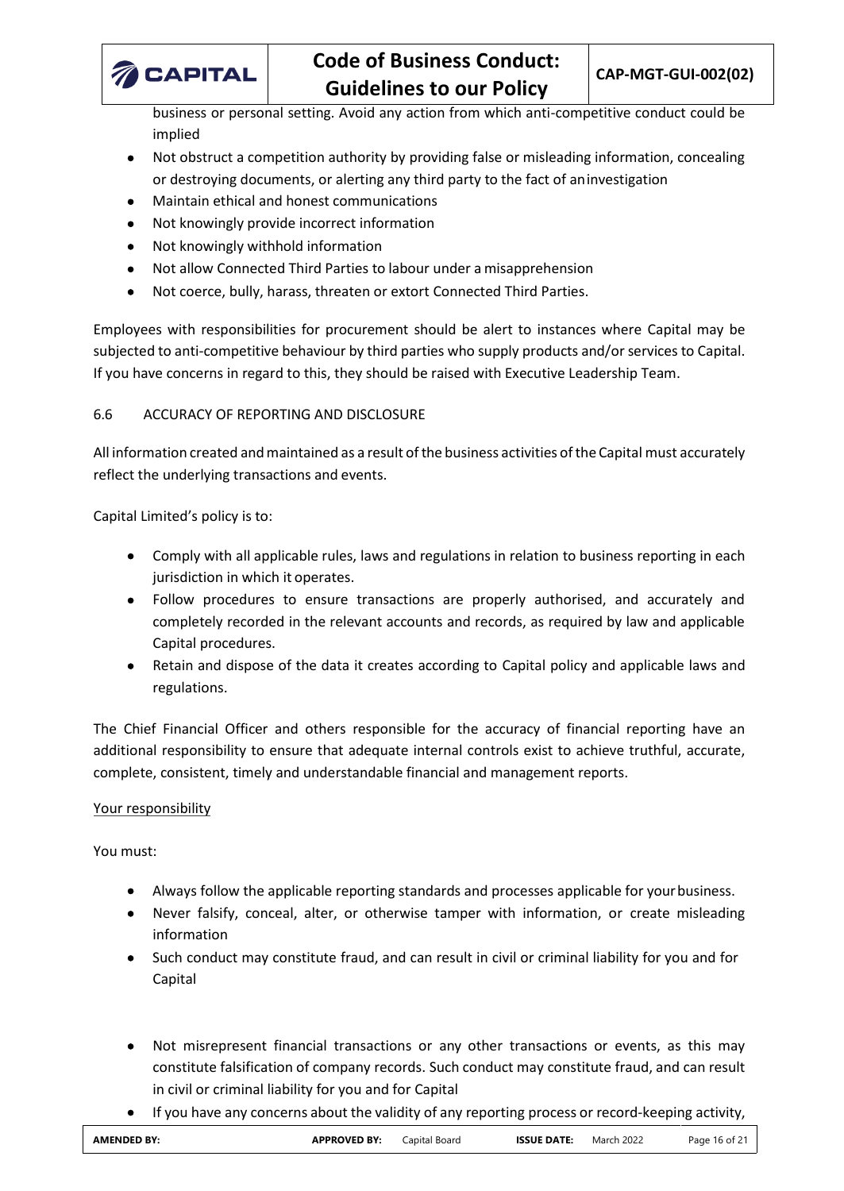

business or personal setting. Avoid any action from which anti-competitive conduct could be implied

- Not obstruct a competition authority by providing false or misleading information, concealing or destroying documents, or alerting any third party to the fact of aninvestigation
- Maintain ethical and honest communications
- Not knowingly provide incorrect information
- Not knowingly withhold information
- Not allow Connected Third Parties to labour under a misapprehension
- Not coerce, bully, harass, threaten or extort Connected Third Parties.

Employees with responsibilities for procurement should be alert to instances where Capital may be subjected to anti-competitive behaviour by third parties who supply products and/or services to Capital. If you have concerns in regard to this, they should be raised with Executive Leadership Team.

# <span id="page-15-0"></span>6.6 ACCURACY OF REPORTING AND DISCLOSURE

All information created and maintained as a result of the business activities of the Capital must accurately reflect the underlying transactions and events.

Capital Limited's policy is to:

- Comply with all applicable rules, laws and regulations in relation to business reporting in each jurisdiction in which it operates.
- Follow procedures to ensure transactions are properly authorised, and accurately and completely recorded in the relevant accounts and records, as required by law and applicable Capital procedures.
- Retain and dispose of the data it creates according to Capital policy and applicable laws and regulations.

The Chief Financial Officer and others responsible for the accuracy of financial reporting have an additional responsibility to ensure that adequate internal controls exist to achieve truthful, accurate, complete, consistent, timely and understandable financial and management reports.

## Your responsibility

You must:

- Always follow the applicable reporting standards and processes applicable for yourbusiness.
- Never falsify, conceal, alter, or otherwise tamper with information, or create misleading information
- Such conduct may constitute fraud, and can result in civil or criminal liability for you and for Capital
- Not misrepresent financial transactions or any other transactions or events, as this may constitute falsification of company records. Such conduct may constitute fraud, and can result in civil or criminal liability for you and for Capital
- If you have any concerns about the validity of any reporting process or record-keeping activity,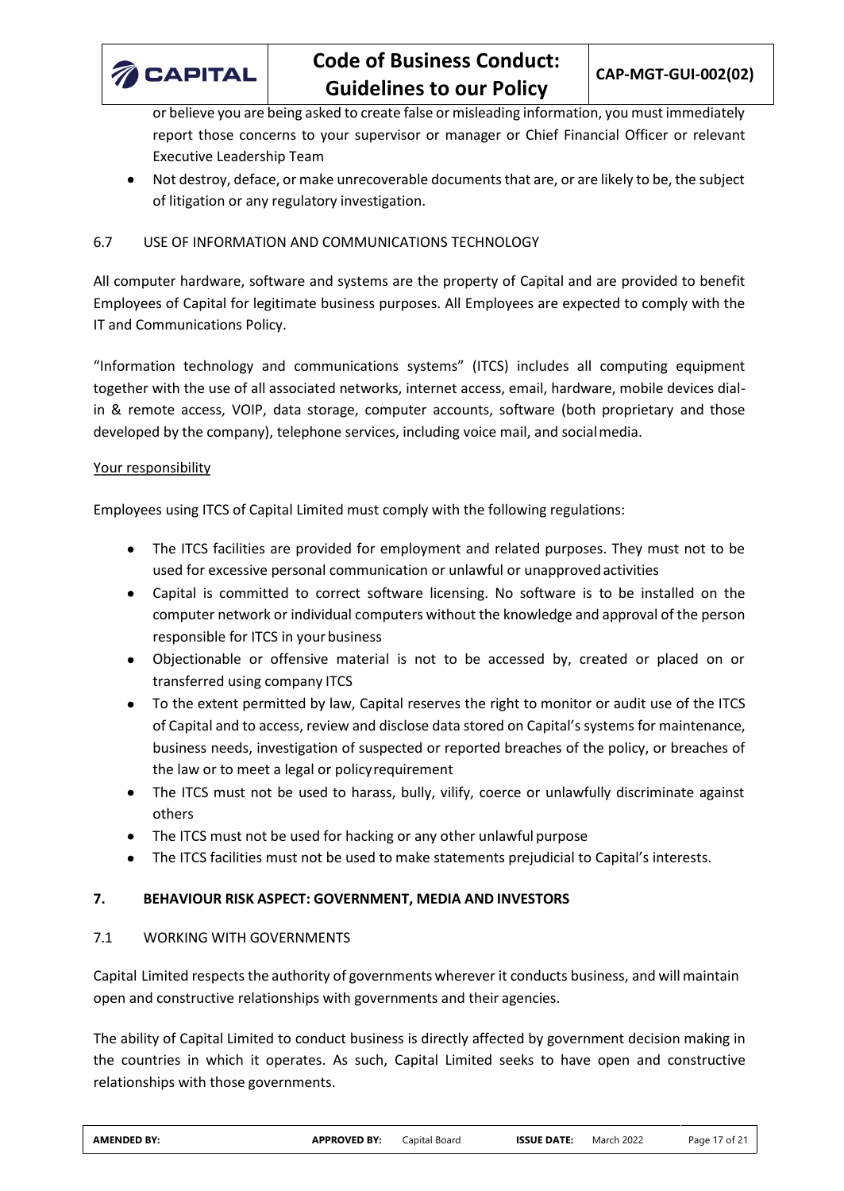

or believe you are being asked to create false or misleading information, you must immediately report those concerns to your supervisor or manager or Chief Financial Officer or relevant Executive Leadership Team

• Not destroy, deface, or make unrecoverable documents that are, or are likely to be, the subject of litigation or any regulatory investigation.

## <span id="page-16-0"></span>6.7 USE OF INFORMATION AND COMMUNICATIONS TECHNOLOGY

All computer hardware, software and systems are the property of Capital and are provided to benefit Employees of Capital for legitimate business purposes. All Employees are expected to comply with the IT and Communications Policy.

"Information technology and communications systems" (ITCS) includes all computing equipment together with the use of all associated networks, internet access, email, hardware, mobile devices dialin & remote access, VOIP, data storage, computer accounts, software (both proprietary and those developed by the company), telephone services, including voice mail, and socialmedia.

## Your responsibility

Employees using ITCS of Capital Limited must comply with the following regulations:

- The ITCS facilities are provided for employment and related purposes. They must not to be used for excessive personal communication or unlawful or unapproved activities
- Capital is committed to correct software licensing. No software is to be installed on the computer network or individual computers without the knowledge and approval of the person responsible for ITCS in your business
- Objectionable or offensive material is not to be accessed by, created or placed on or transferred using company ITCS
- To the extent permitted by law, Capital reserves the right to monitor or audit use of the ITCS of Capital and to access, review and disclose data stored on Capital's systems for maintenance, business needs, investigation of suspected or reported breaches of the policy, or breaches of the law or to meet a legal or policyrequirement
- The ITCS must not be used to harass, bully, vilify, coerce or unlawfully discriminate against others
- The ITCS must not be used for hacking or any other unlawful purpose
- The ITCS facilities must not be used to make statements prejudicial to Capital's interests.

## <span id="page-16-1"></span>**7. BEHAVIOUR RISK ASPECT: GOVERNMENT, MEDIA AND INVESTORS**

## <span id="page-16-2"></span>7.1 WORKING WITH GOVERNMENTS

Capital Limited respects the authority of governments wherever it conducts business, and will maintain open and constructive relationships with governments and their agencies.

The ability of Capital Limited to conduct business is directly affected by government decision making in the countries in which it operates. As such, Capital Limited seeks to have open and constructive relationships with those governments.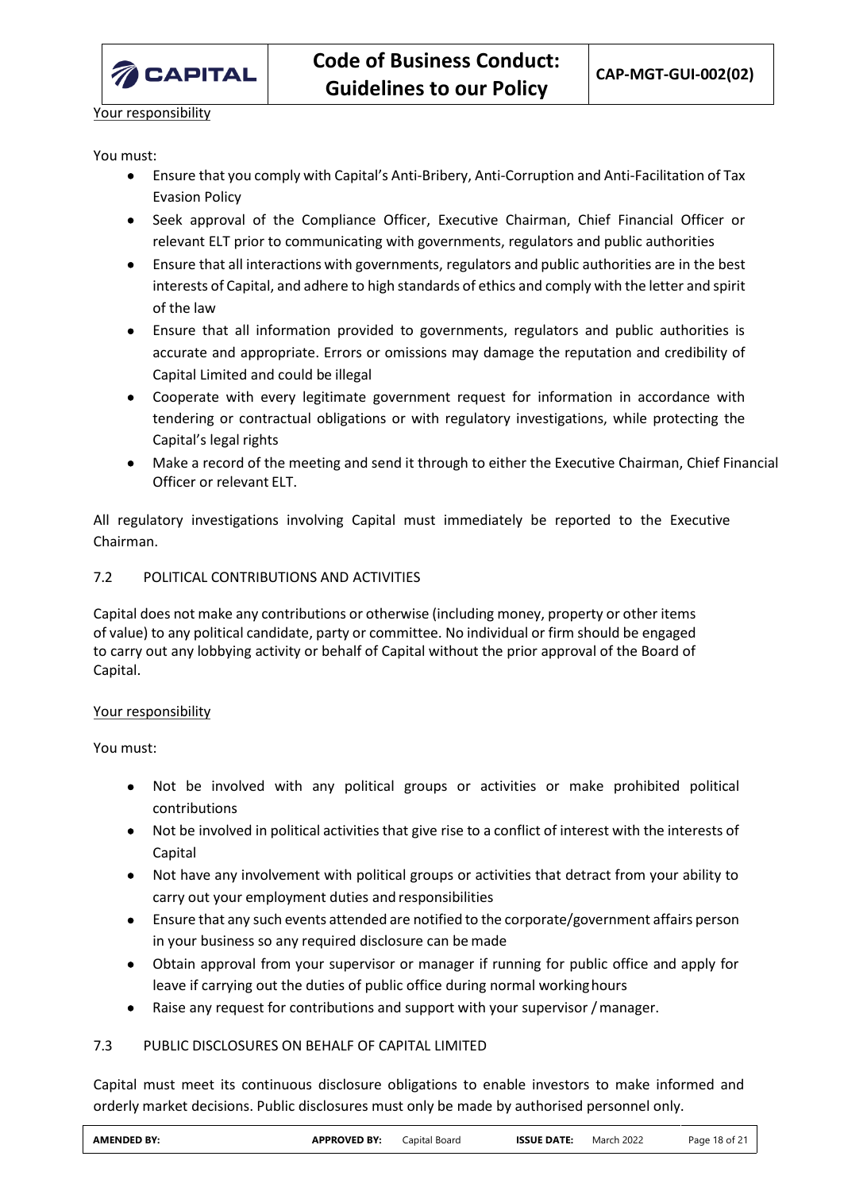

Your responsibility

You must:

- Ensure that you comply with Capital's Anti-Bribery, Anti-Corruption and Anti-Facilitation of Tax Evasion Policy
- Seek approval of the Compliance Officer, Executive Chairman, Chief Financial Officer or relevant ELT prior to communicating with governments, regulators and public authorities
- Ensure that all interactions with governments, regulators and public authorities are in the best interests of Capital, and adhere to high standards of ethics and comply with the letter and spirit of the law
- Ensure that all information provided to governments, regulators and public authorities is accurate and appropriate. Errors or omissions may damage the reputation and credibility of Capital Limited and could be illegal
- Cooperate with every legitimate government request for information in accordance with tendering or contractual obligations or with regulatory investigations, while protecting the Capital's legal rights
- Make a record of the meeting and send it through to either the Executive Chairman, Chief Financial Officer or relevant ELT.

All regulatory investigations involving Capital must immediately be reported to the Executive Chairman.

# <span id="page-17-0"></span>7.2 POLITICAL CONTRIBUTIONS AND ACTIVITIES

Capital does not make any contributions or otherwise (including money, property or other items of value) to any political candidate, party or committee. No individual or firm should be engaged to carry out any lobbying activity or behalf of Capital without the prior approval of the Board of Capital.

# Your responsibility

You must:

- Not be involved with any political groups or activities or make prohibited political contributions
- Not be involved in political activities that give rise to a conflict of interest with the interests of Capital
- Not have any involvement with political groups or activities that detract from your ability to carry out your employment duties and responsibilities
- Ensure that any such events attended are notified to the corporate/government affairs person in your business so any required disclosure can be made
- Obtain approval from your supervisor or manager if running for public office and apply for leave if carrying out the duties of public office during normal workinghours
- Raise any request for contributions and support with your supervisor / manager.

# <span id="page-17-1"></span>7.3 PUBLIC DISCLOSURES ON BEHALF OF CAPITAL LIMITED

Capital must meet its continuous disclosure obligations to enable investors to make informed and orderly market decisions. Public disclosures must only be made by authorised personnel only.

| <b>AMENDED BY:</b> | <b>\PPROVED BY:</b> | `apital Board<br>. | <b>ISSUE DATE:</b><br>$\frac{1}{2} \left( \frac{1}{2} \right) \left( \frac{1}{2} \right) \left( \frac{1}{2} \right) \left( \frac{1}{2} \right) \left( \frac{1}{2} \right) \left( \frac{1}{2} \right) \left( \frac{1}{2} \right) \left( \frac{1}{2} \right) \left( \frac{1}{2} \right) \left( \frac{1}{2} \right) \left( \frac{1}{2} \right) \left( \frac{1}{2} \right) \left( \frac{1}{2} \right) \left( \frac{1}{2} \right) \left( \frac{1}{2} \right) \left( \frac{1}{2} \right) \left( \frac$ | 2022<br>March | $18$ of $\epsilon$ .<br>Page |
|--------------------|---------------------|--------------------|--------------------------------------------------------------------------------------------------------------------------------------------------------------------------------------------------------------------------------------------------------------------------------------------------------------------------------------------------------------------------------------------------------------------------------------------------------------------------------------------------|---------------|------------------------------|